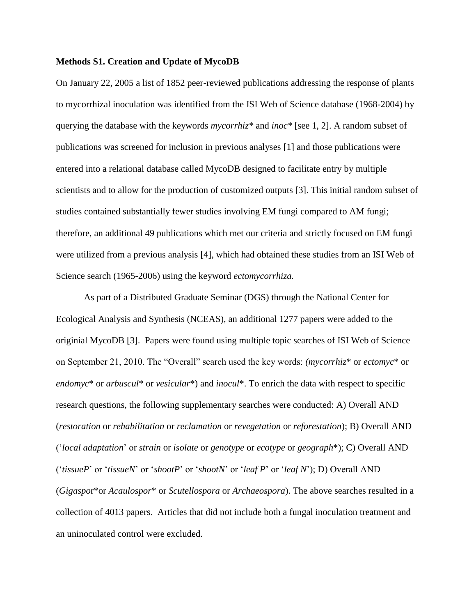## **Methods S1. Creation and Update of MycoDB**

On January 22, 2005 a list of 1852 peer-reviewed publications addressing the response of plants to mycorrhizal inoculation was identified from the ISI Web of Science database (1968-2004) by querying the database with the keywords *mycorrhiz\** and *inoc\** [see 1, 2]. A random subset of publications was screened for inclusion in previous analyses [1] and those publications were entered into a relational database called MycoDB designed to facilitate entry by multiple scientists and to allow for the production of customized outputs [3]. This initial random subset of studies contained substantially fewer studies involving EM fungi compared to AM fungi; therefore, an additional 49 publications which met our criteria and strictly focused on EM fungi were utilized from a previous analysis [4], which had obtained these studies from an ISI Web of Science search (1965-2006) using the keyword *ectomycorrhiza.*

As part of a Distributed Graduate Seminar (DGS) through the National Center for Ecological Analysis and Synthesis (NCEAS), an additional 1277 papers were added to the originial MycoDB [3]. Papers were found using multiple topic searches of ISI Web of Science on September 21, 2010. The "Overall" search used the key words: *(mycorrhiz*\* or *ectomyc*\* or *endomyc*\* or *arbuscul*\* or *vesicular*\*) and *inocul*\*. To enrich the data with respect to specific research questions, the following supplementary searches were conducted: A) Overall AND (*restoration* or *rehabilitation* or *reclamation* or *revegetation* or *reforestation*); B) Overall AND ('*local adaptation*' or *strain* or *isolate* or *genotype* or *ecotype* or *geograph*\*); C) Overall AND ('*tissueP*' or '*tissueN*' or '*shootP*' or '*shootN*' or '*leaf P*' or '*leaf N*'); D) Overall AND (*Gigaspo*r\*or *Acaulospor*\* or *Scutellospora* or *Archaeospora*). The above searches resulted in a collection of 4013 papers. Articles that did not include both a fungal inoculation treatment and an uninoculated control were excluded.